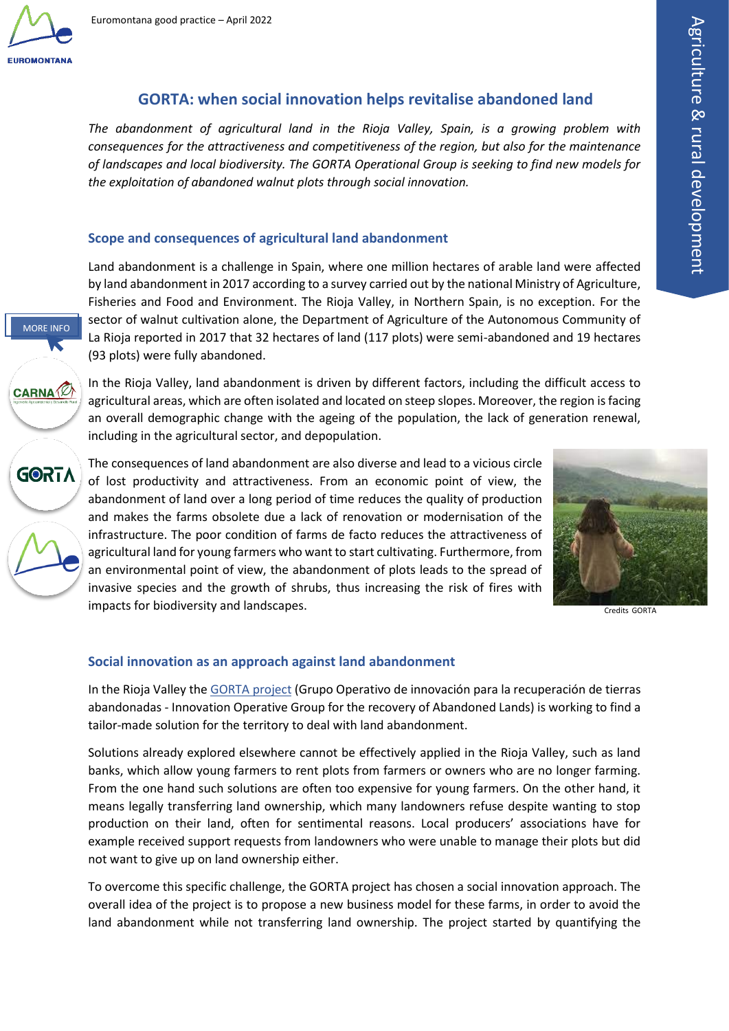

MORE INFO

**CARNA** 

**GORTA** 

# **GORTA: when social innovation helps revitalise abandoned land**

*The abandonment of agricultural land in the Rioja Valley, Spain, is a growing problem with consequences for the attractiveness and competitiveness of the region, but also for the maintenance of landscapes and local biodiversity. The GORTA Operational Group is seeking to find new models for the exploitation of abandoned walnut plots through social innovation.*

## **Scope and consequences of agricultural land abandonment**

Land abandonment is a challenge in Spain, where one million hectares of arable land were affected by land abandonment in 2017 according to a survey carried out by the national Ministry of Agriculture, Fisheries and Food and Environment. The Rioja Valley, in Northern Spain, is no exception. For the sector of walnut cultivation alone, the Department of Agriculture of the Autonomous Community of La Rioja reported in 2017 that 32 hectares of land (117 plots) were semi-abandoned and 19 hectares (93 plots) were fully abandoned.

[In](https://carna.es/) the Rioja Valley, land abandonment is driven by different factors, including the difficult access to agricultural areas, which are often isolated and located on steep slopes. Moreover, the region is facing an overall demographic change with the ageing of the population, the lack of generation renewal, including in the agricultural sector, and depopulation.

[T](https://ec.europa.eu/eip/agriculture/en/find-connect/projects/gorta-grupo-operativo-de-innovaci%C3%B3n-para-la)he consequences of land abandonment are also diverse and lead to a vicious circle of lost productivity and attractiveness. From an economic point of view, the abandonment of land over a long period of time reduces the quality of production and makes the farms obsolete due a lack of renovation or modernisation of the [i](https://www.euromontana.org/en/working-themes/agriculture-and-rural-development/)nfrastructure. The poor condition of farms de facto reduces the attractiveness of agricultural land for young farmers who want to start cultivating. Furthermore, from an environmental point of view, the abandonment of plots leads to the spread of invasive species and the growth of shrubs, thus increasing the risk of fires with impacts for biodiversity and landscapes.



Credits GORTA

### **Social innovation as an approach against land abandonment**

In the Rioja Valley the [GORTA project](https://ec.europa.eu/eip/agriculture/en/find-connect/projects/gorta-grupo-operativo-de-innovaci%C3%B3n-para-la) (Grupo Operativo de innovación para la recuperación de tierras abandonadas - Innovation Operative Group for the recovery of Abandoned Lands) is working to find a tailor-made solution for the territory to deal with land abandonment.

Solutions already explored elsewhere cannot be effectively applied in the Rioja Valley, such as land banks, which allow young farmers to rent plots from farmers or owners who are no longer farming. From the one hand such solutions are often too expensive for young farmers. On the other hand, it means legally transferring land ownership, which many landowners refuse despite wanting to stop production on their land, often for sentimental reasons. Local producers' associations have for example received support requests from landowners who were unable to manage their plots but did not want to give up on land ownership either.

To overcome this specific challenge, the GORTA project has chosen a social innovation approach. The overall idea of the project is to propose a new business model for these farms, in order to avoid the land abandonment while not transferring land ownership. The project started by quantifying the